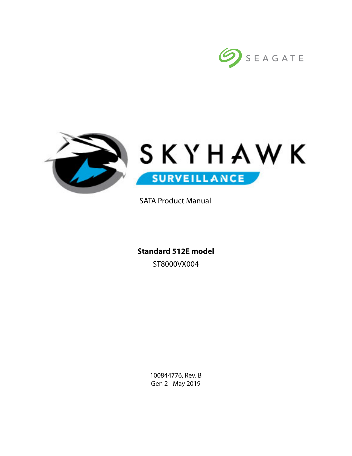



SATA Product Manual

**Standard 512E model** ST8000VX004

> 100844776, Rev. B Gen 2 - May 2019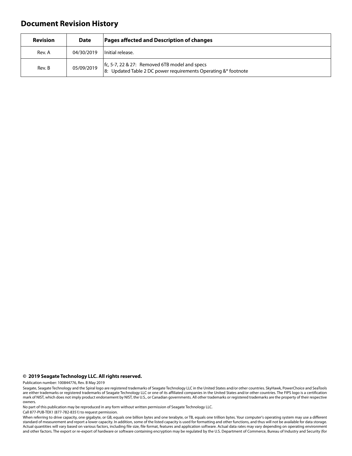# **Document Revision History**

| <b>Revision</b> | <b>Date</b> | Pages affected and Description of changes                                                                         |  |
|-----------------|-------------|-------------------------------------------------------------------------------------------------------------------|--|
| Rev. A          | 04/30/2019  | Initial release.                                                                                                  |  |
| Rev. B          | 05/09/2019  | fc, 5-7, 22 & 27: Removed 6TB model and specs<br>8: Updated Table 2 DC power requirements Operating $&*$ footnote |  |

#### **© 2019 Seagate Technology LLC. All rights reserved.**

Publication number: 100844776, Rev. B May 2019

No part of this publication may be reproduced in any form without written permission of Seagate Technology LLC.

Call 877-PUB-TEK1 (877-782-8351) to request permission.

When referring to drive capacity, one gigabyte, or GB, equals one billion bytes and one terabyte, or TB, equals one trillion bytes. Your computer's operating system may use a different standard of measurement and report a lower capacity. In addition, some of the listed capacity is used for formatting and other functions, and thus will not be available for data storage. Actual quantities will vary based on various factors, including file size, file format, features and application software. Actual data rates may vary depending on operating environment and other factors. The export or re-export of hardware or software containing encryption may be regulated by the U.S. Department of Commerce, Bureau of Industry and Security (for

Seagate, Seagate Technology and the Spiral logo are registered trademarks of Seagate Technology LLC in the United States and/or other countries. SkyHawk, PowerChoice and SeaTools are either trademarks or registered trademarks of Seagate Technology LLC or one of its affiliated companies in the United States and/or other countries. The FIPS logo is a certification<br>mark of NIST, which does not imply p owners.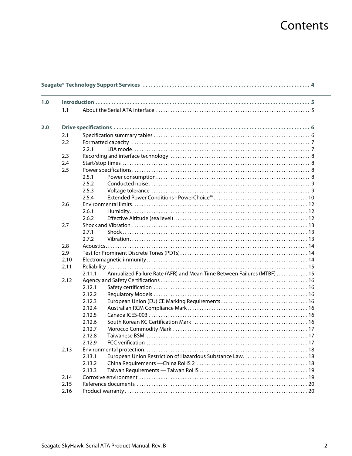# Contents

| 1.0 |      |        |                                                                         |  |
|-----|------|--------|-------------------------------------------------------------------------|--|
|     | 1.1  |        |                                                                         |  |
|     |      |        |                                                                         |  |
| 2.0 |      |        |                                                                         |  |
|     | 2.1  |        |                                                                         |  |
|     | 2.2  |        |                                                                         |  |
|     |      | 2.2.1  |                                                                         |  |
|     | 2.3  |        |                                                                         |  |
|     | 2.4  |        |                                                                         |  |
|     | 2.5  |        |                                                                         |  |
|     |      | 2.5.1  |                                                                         |  |
|     |      | 2.5.2  |                                                                         |  |
|     |      | 2.5.3  |                                                                         |  |
|     |      | 2.5.4  |                                                                         |  |
|     | 2.6  |        |                                                                         |  |
|     |      | 2.6.1  |                                                                         |  |
|     |      | 2.6.2  |                                                                         |  |
|     | 2.7  |        |                                                                         |  |
|     |      | 2.7.1  |                                                                         |  |
|     |      | 2.7.2  |                                                                         |  |
|     | 2.8  |        |                                                                         |  |
|     | 2.9  |        |                                                                         |  |
|     | 2.10 |        |                                                                         |  |
|     | 2.11 |        |                                                                         |  |
|     |      | 2.11.1 | Annualized Failure Rate (AFR) and Mean Time Between Failures (MTBF)  15 |  |
|     | 2.12 |        |                                                                         |  |
|     |      | 2.12.1 |                                                                         |  |
|     |      | 2.12.2 |                                                                         |  |
|     |      | 2.12.3 |                                                                         |  |
|     |      | 2.12.4 |                                                                         |  |
|     |      | 2.12.5 |                                                                         |  |
|     |      | 2.12.6 |                                                                         |  |
|     |      | 2.12.7 |                                                                         |  |
|     |      | 2.12.8 |                                                                         |  |
|     |      | 2.12.9 |                                                                         |  |
|     | 2.13 |        |                                                                         |  |
|     |      | 2.13.1 | European Union Restriction of Hazardous Substance Law 18                |  |
|     |      | 2.13.2 |                                                                         |  |
|     |      | 2.13.3 |                                                                         |  |
|     | 2.14 |        |                                                                         |  |
|     | 2.15 |        |                                                                         |  |
|     | 2.16 |        |                                                                         |  |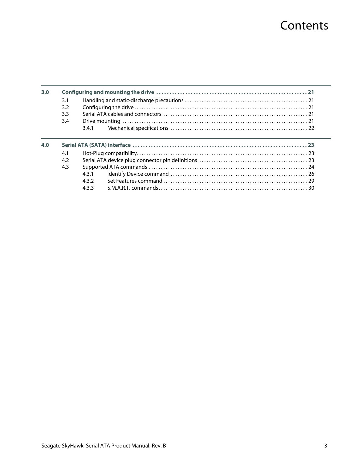# **Contents**

| 3.0 |            |            |  |
|-----|------------|------------|--|
|     | 3.1        |            |  |
|     | 3.2        |            |  |
|     | 3.3        |            |  |
|     | 3.4        |            |  |
|     |            | 341        |  |
| 4.0 |            |            |  |
|     | 4.1        |            |  |
|     | 4.2<br>4.3 | 431<br>432 |  |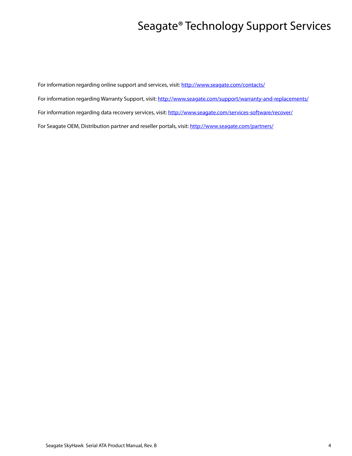# Seagate® Technology Support Services

<span id="page-4-0"></span>For information regarding online support and services, visit: [http://www.sea](http://www.seagate.com/contacts/)gate.com/contacts/ [For information regarding Warranty Support, visit: h](http://www.seagate.com/support/warranty-and-replacements/)ttp://www.seagate.com/support/warranty-and-replacements/ For information regarding data recovery services, visit: [http://www.seagate.com/services-software/recover/](http://www.seagate.com/services-software/data-recovery-services/) [For Seagate OEM, Distribution partner and reseller portals, visit: h](http://www.seagate.com/partners/)ttp://www.seagate.com/partners/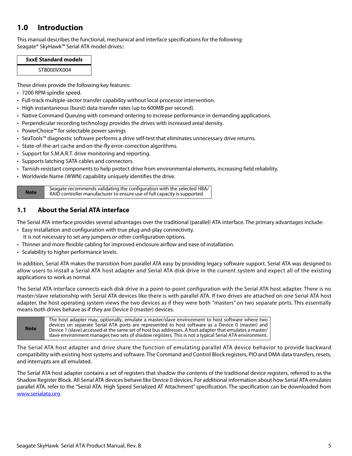# <span id="page-5-0"></span>**1.0 Introduction**

This manual describes the functional, mechanical and interface specifications for the following: Seagate® SkyHawk™ Serial ATA model drives::

| <b>5xxE Standard models</b> |  |
|-----------------------------|--|
| ST8000VX004                 |  |

These drives provide the following key features:

- 7200 RPM spindle speed.
- Full-track multiple-sector transfer capability without local processor intervention.
- High instantaneous (burst) data-transfer rates (up to 600MB per second).
- Native Command Queuing with command ordering to increase performance in demanding applications.
- Perpendicular recording technology provides the drives with increased areal density.
- PowerChoice™ for selectable power savings
- SeaTools™ diagnostic software performs a drive self-test that eliminates unnecessary drive returns.
- State-of-the-art cache and on-the-fly error-correction algorithms.
- Support for S.M.A.R.T. drive monitoring and reporting.
- Supports latching SATA cables and connectors.
- Tarnish-resistant components to help protect drive from environmental elements, increasing field reliability.
- Worldwide Name (WWN) capability uniquely identifies the drive.

Seagate recommends validating the configuration with the selected HBA/<br>RAID controller manufacturer to ensure use of full capacity is supported RAID controller manufacturer to ensure use of full capacity is supported.

# <span id="page-5-1"></span>**1.1 About the Serial ATA interface**

The Serial ATA interface provides several advantages over the traditional (parallel) ATA interface. The primary advantages include:

- Easy installation and configuration with true plug-and-play connectivity. It is not necessary to set any jumpers or other configuration options.
- Thinner and more flexible cabling for improved enclosure airflow and ease of installation.
- Scalability to higher performance levels.

In addition, Serial ATA makes the transition from parallel ATA easy by providing legacy software support. Serial ATA was designed to allow users to install a Serial ATA host adapter and Serial ATA disk drive in the current system and expect all of the existing applications to work as normal.

The Serial ATA interface connects each disk drive in a point-to-point configuration with the Serial ATA host adapter. There is no master/slave relationship with Serial ATA devices like there is with parallel ATA. If two drives are attached on one Serial ATA host adapter, the host operating system views the two devices as if they were both "masters" on two separate ports. This essentially means both drives behave as if they are Device 0 (master) devices.

**Note** The host adapter may, optionally, emulate a master/slave environment to host software where two devices on separate Serial ATA ports are represented to host software as a Device 0 (master) and Device 1 (slave) accessed at the same set of host bus addresses. A host adapter that emulates a master/ slave environment manages two sets of shadow registers. This is not a typical Serial ATA environment.

The Serial ATA host adapter and drive share the function of emulating parallel ATA device behavior to provide backward compatibility with existing host systems and software. The Command and Control Block registers, PIO and DMA data transfers, resets, and interrupts are all emulated.

The Serial ATA host adapter contains a set of registers that shadow the contents of the traditional device registers, referred to as the Shadow Register Block. All Serial ATA devices behave like Device 0 devices. For additional information about how Serial ATA emulates parallel ATA, refer to the "Serial ATA: High Speed Serialized AT Attachment" specification. The specification can be downloaded from [www.serialata.or](http://www.serialata.org)g.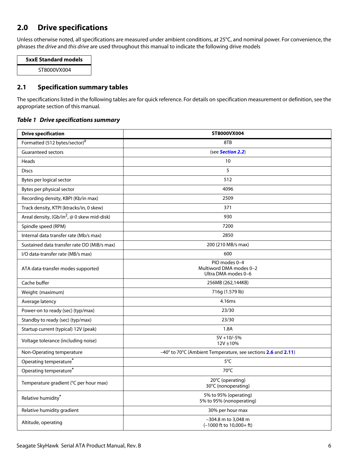# <span id="page-6-0"></span>**2.0 Drive specifications**

Unless otherwise noted, all specifications are measured under ambient conditions, at 25°C, and nominal power. For convenience, the phrases the drive and this drive are used throughout this manual to indicate the following drive models

| <b>5xxE Standard models</b> |  |
|-----------------------------|--|
| ST8000VX004                 |  |

# <span id="page-6-1"></span>**2.1 Specification summary tables**

The specifications listed in the following tables are for quick reference. For details on specification measurement or definition, see the appropriate section of this manual.

## *Table 1 Drive specifications summary*

| <b>Drive specification</b>                              | ST8000VX004                                                         |  |
|---------------------------------------------------------|---------------------------------------------------------------------|--|
| Formatted (512 bytes/sector)#                           | 8TB                                                                 |  |
| <b>Guaranteed sectors</b>                               | (see Section 2.2)                                                   |  |
| Heads                                                   | 10                                                                  |  |
| <b>Discs</b>                                            | 5                                                                   |  |
| Bytes per logical sector                                | 512                                                                 |  |
| Bytes per physical sector                               | 4096                                                                |  |
| Recording density, KBPI (Kb/in max)                     | 2509                                                                |  |
| Track density, KTPI (ktracks/in, 0 skew)                | 371                                                                 |  |
| Areal density, (Gb/in <sup>2</sup> , @ 0 skew mid-disk) | 930                                                                 |  |
| Spindle speed (RPM)                                     | 7200                                                                |  |
| Internal data transfer rate (Mb/s max)                  | 2850                                                                |  |
| Sustained data transfer rate OD (MiB/s max)             | 200 (210 MB/s max)                                                  |  |
| I/O data-transfer rate (MB/s max)                       | 600                                                                 |  |
| ATA data-transfer modes supported                       | PIO modes 0-4<br>Multiword DMA modes 0-2<br>Ultra DMA modes 0-6     |  |
| Cache buffer                                            | 256MB (262,144KB)                                                   |  |
| Weight: (maximum)                                       | 716g (1.579 lb)                                                     |  |
| Average latency                                         | 4.16ms                                                              |  |
| Power-on to ready (sec) (typ/max)                       | 23/30                                                               |  |
| Standby to ready (sec) (typ/max)                        | 23/30                                                               |  |
| Startup current (typical) 12V (peak)                    | 1.8A                                                                |  |
| Voltage tolerance (including noise)                     | $5V + 10/-5%$<br>12V ±10%                                           |  |
| Non-Operating temperature                               | -40° to 70°C (Ambient Temperature, see sections 2.6 and 2.11)       |  |
| Operating temperature*                                  | 5°C                                                                 |  |
| Operating temperature <sup>*</sup>                      | 70°C                                                                |  |
| Temperature gradient (°C per hour max)                  | 20°C (operating)<br>30°C (nonoperating)                             |  |
| Relative humidity*                                      | 5% to 95% (operating)<br>5% to 95% (nonoperating)                   |  |
| Relative humidity gradient                              | 30% per hour max                                                    |  |
| Altitude, operating                                     | -304.8 m to 3,048 m<br>$(-1000 \text{ ft to } 10,000 + \text{ ft})$ |  |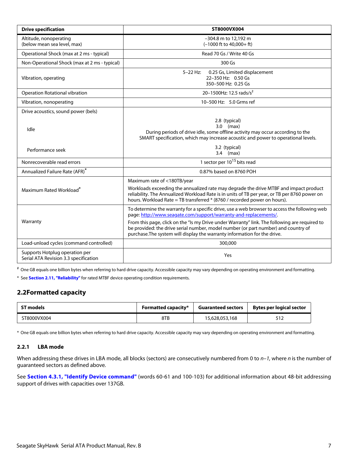| <b>Drive specification</b>                                              | ST8000VX004                                                                                                                                                                                                                                                                                                                                                                                                                           |
|-------------------------------------------------------------------------|---------------------------------------------------------------------------------------------------------------------------------------------------------------------------------------------------------------------------------------------------------------------------------------------------------------------------------------------------------------------------------------------------------------------------------------|
| Altitude, nonoperating<br>(below mean sea level, max)                   | -304.8 m to 12,192 m<br>$(-1000$ ft to $40.000 + ft$ )                                                                                                                                                                                                                                                                                                                                                                                |
| Operational Shock (max at 2 ms - typical)                               | Read 70 Gs / Write 40 Gs                                                                                                                                                                                                                                                                                                                                                                                                              |
| Non-Operational Shock (max at 2 ms - typical)                           | 300 Gs                                                                                                                                                                                                                                                                                                                                                                                                                                |
| Vibration, operating                                                    | $5-22$ Hz:<br>0.25 Gs, Limited displacement<br>22-350 Hz: 0.50 Gs<br>350-500 Hz: 0.25 Gs                                                                                                                                                                                                                                                                                                                                              |
| Operation Rotational vibration                                          | 20-1500Hz: 12.5 rads/s <sup>2</sup>                                                                                                                                                                                                                                                                                                                                                                                                   |
| Vibration, nonoperating                                                 | 10-500 Hz: 5.0 Grms ref                                                                                                                                                                                                                                                                                                                                                                                                               |
| Drive acoustics, sound power (bels)                                     |                                                                                                                                                                                                                                                                                                                                                                                                                                       |
| Idle                                                                    | 2.8 (typical)<br>$3.0$ (max)<br>During periods of drive idle, some offline activity may occur according to the<br>SMART specification, which may increase acoustic and power to operational levels.                                                                                                                                                                                                                                   |
| Performance seek                                                        | 3.2 (typical)<br>$3.4$ (max)                                                                                                                                                                                                                                                                                                                                                                                                          |
| Nonrecoverable read errors                                              | 1 sector per 10 <sup>15</sup> bits read                                                                                                                                                                                                                                                                                                                                                                                               |
| Annualized Failure Rate (AFR)*                                          | 0.87% based on 8760 POH                                                                                                                                                                                                                                                                                                                                                                                                               |
| Maximum Rated Workload <sup>*</sup>                                     | Maximum rate of <180TB/year<br>Workloads exceeding the annualized rate may degrade the drive MTBF and impact product<br>reliability. The Annualized Workload Rate is in units of TB per year, or TB per 8760 power on<br>hours. Workload Rate = TB transferred * (8760 / recorded power on hours).                                                                                                                                    |
| Warranty                                                                | To determine the warranty for a specific drive, use a web browser to access the following web<br>page: http://www.seagate.com/support/warranty-and-replacements/.<br>From this page, click on the "Is my Drive under Warranty" link. The following are required to<br>be provided: the drive serial number, model number (or part number) and country of<br>purchase. The system will display the warranty information for the drive. |
| Load-unload cycles (command controlled)                                 | 300,000                                                                                                                                                                                                                                                                                                                                                                                                                               |
| Supports Hotplug operation per<br>Serial ATA Revision 3.3 specification | Yes                                                                                                                                                                                                                                                                                                                                                                                                                                   |

# One GB equals one billion bytes when referring to hard drive capacity. Accessible capacity may vary depending on operating environment and formatting.

<span id="page-7-2"></span>\* See **[Section 2.11, "Reliability"](#page-15-0)** for rated MTBF device operating condition requirements.

# <span id="page-7-0"></span>**2.2Formatted capacity**

| <b>ST models</b> | <b>Formatted capacity*</b> | <b>Guaranteed sectors</b> | Bytes per logical sector |
|------------------|----------------------------|---------------------------|--------------------------|
| ST8000VX004      | 8TB                        | 15,628,053,168            | ے ا د                    |

\* One GB equals one billion bytes when referring to hard drive capacity. Accessible capacity may vary depending on operating environment and formatting.

## <span id="page-7-1"></span>**2.2.1 LBA mode**

When addressing these drives in LBA mode, all blocks (sectors) are consecutively numbered from 0 to  $n-1$ , where n is the number of guaranteed sectors as defined above.

See **[Section 4.3.1, "Identify Device command"](#page-26-0)** (words 60-61 and 100-103) for additional information about 48-bit addressing support of drives with capacities over 137GB.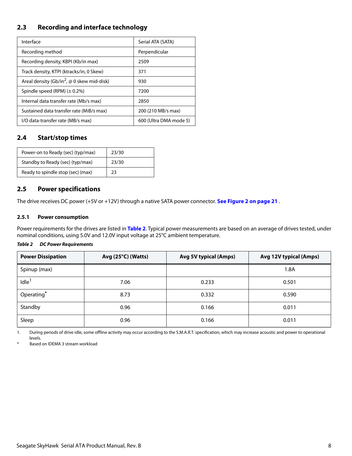# <span id="page-8-0"></span>**2.3 Recording and interface technology**

| Interface                                                     | Serial ATA (SATA)      |
|---------------------------------------------------------------|------------------------|
| Recording method                                              | Perpendicular          |
| Recording density, KBPI (Kb/in max)                           | 2509                   |
| Track density, KTPI (ktracks/in, 0 Skew)                      | 371                    |
| Areal density (Gb/in <sup>2</sup> , $\omega$ 0 skew mid-disk) | 930                    |
| Spindle speed (RPM) $(\pm 0.2\%)$                             | 7200                   |
| Internal data transfer rate (Mb/s max)                        | 2850                   |
| Sustained data transfer rate (MiB/s max)                      | 200 (210 MB/s max)     |
| I/O data-transfer rate (MB/s max)                             | 600 (Ultra DMA mode 5) |

# <span id="page-8-1"></span>**2.4 Start/stop times**

| Power-on to Ready (sec) (typ/max) | 23/30 |
|-----------------------------------|-------|
| Standby to Ready (sec) (typ/max)  | 23/30 |
| Ready to spindle stop (sec) (max) | 23    |

# <span id="page-8-2"></span>**2.5 Power specifications**

The drive receives DC power (+5V or +12V) through a native SATA power connector. **[See Figure 2 on page 21](#page-21-5)** .

### <span id="page-8-3"></span>**2.5.1 Power consumption**

Power requirements for the drives are listed in **Table 2**. Typical power measurements are based on an average of drives tested, under nominal conditions, using 5.0V and 12.0V input voltage at 25°C ambient temperature.

## *Table 2 DC Power Requirements*

| <b>Power Dissipation</b> | Avg (25°C) (Watts) | <b>Avg 5V typical (Amps)</b> | Avg 12V typical (Amps) |
|--------------------------|--------------------|------------------------------|------------------------|
| Spinup (max)             |                    |                              | 1.8A                   |
| Idle <sup>1</sup>        | 7.06               | 0.233                        | 0.501                  |
| Operating*               | 8.73               | 0.332                        | 0.590                  |
| Standby                  | 0.96               | 0.166                        | 0.011                  |
| Sleep                    | 0.96               | 0.166                        | 0.011                  |

1. During periods of drive idle, some offline activity may occur according to the S.M.A.R.T. specification, which may increase acoustic and power to operational levels.

<span id="page-8-4"></span>Based on IDEMA 3 stream workload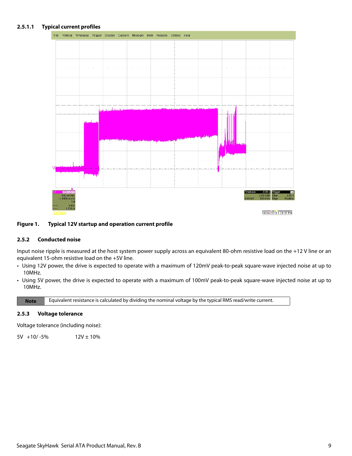## **2.5.1.1 Typical current profiles**



#### **Figure 1. Typical 12V startup and operation current profile**

#### <span id="page-9-0"></span>**2.5.2 Conducted noise**

Input noise ripple is measured at the host system power supply across an equivalent 80-ohm resistive load on the +12 V line or an equivalent 15-ohm resistive load on the +5V line.

- Using 12V power, the drive is expected to operate with a maximum of 120mV peak-to-peak square-wave injected noise at up to 10MHz.
- Using 5V power, the drive is expected to operate with a maximum of 100mV peak-to-peak square-wave injected noise at up to 10MHz.

**Note** Equivalent resistance is calculated by dividing the nominal voltage by the typical RMS read/write current.

#### <span id="page-9-1"></span>**2.5.3 Voltage tolerance**

Voltage tolerance (including noise):

 $5V +10/-5\%$  12V ± 10%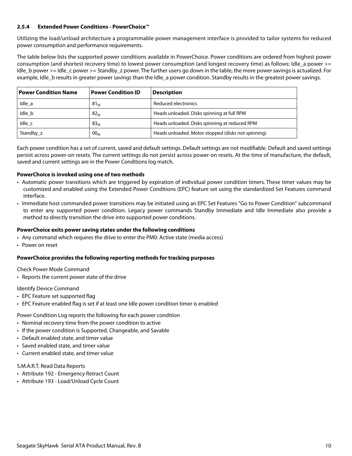## <span id="page-10-0"></span>**2.5.4 Extended Power Conditions - PowerChoice**™

Utilizing the load/unload architecture a programmable power management interface is provided to tailor systems for reduced power consumption and performance requirements.

The table below lists the supported power conditions available in PowerChoice. Power conditions are ordered from highest power consumption (and shortest recovery time) to lowest power consumption (and longest recovery time) as follows: Idle a power >= Idle b power >= Idle c power >= Standby z power. The further users go down in the table, the more power savings is actualized. For example, Idle b results in greater power savings than the Idle a power condition. Standby results in the greatest power savings.

| <b>Power Condition Name</b> | <b>Power Condition ID</b> | <b>Description</b>                                 |
|-----------------------------|---------------------------|----------------------------------------------------|
| Idle a                      | 81 <sub>H</sub>           | Reduced electronics                                |
| Idle b                      | 82 <sub>H</sub>           | Heads unloaded. Disks spinning at full RPM         |
| Idle c                      | 83 <sub>H</sub>           | Heads unloaded. Disks spinning at reduced RPM      |
| Standby z                   | 00 <sub>H</sub>           | Heads unloaded. Motor stopped (disks not spinning) |

Each power condition has a set of current, saved and default settings. Default settings are not modifiable. Default and saved settings persist across power-on resets. The current settings do not persist across power-on resets. At the time of manufacture, the default, saved and current settings are in the Power Conditions log match.

#### **PowerChoice is invoked using one of two methods**

- Automatic power transitions which are triggered by expiration of individual power condition timers. These timer values may be customized and enabled using the Extended Power Conditions (EPC) feature set using the standardized Set Features command interface.
- Immediate host commanded power transitions may be initiated using an EPC Set Features "Go to Power Condition" subcommand to enter any supported power condition. Legacy power commands Standby Immediate and Idle Immediate also provide a method to directly transition the drive into supported power conditions.

#### **PowerChoice exits power saving states under the following conditions**

- Any command which requires the drive to enter the PM0: Active state (media access)
- Power on reset

## **PowerChoice provides the following reporting methods for tracking purposes**

Check Power Mode Command

• Reports the current power state of the drive

Identify Device Command

- EPC Feature set supported flag
- EPC Feature enabled flag is set if at least one Idle power condition timer is enabled

Power Condition Log reports the following for each power condition

- Nominal recovery time from the power condition to active
- If the power condition is Supported, Changeable, and Savable
- Default enabled state, and timer value
- Saved enabled state, and timer value
- Current enabled state, and timer value

# S.M.A.R.T. Read Data Reports

- Attribute 192 Emergency Retract Count
- Attribute 193 Load/Unload Cycle Count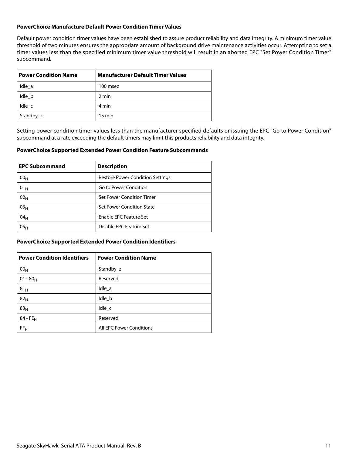#### **PowerChoice Manufacture Default Power Condition Timer Values**

Default power condition timer values have been established to assure product reliability and data integrity. A minimum timer value threshold of two minutes ensures the appropriate amount of background drive maintenance activities occur. Attempting to set a timer values less than the specified minimum timer value threshold will result in an aborted EPC "Set Power Condition Timer" subcommand.

| <b>Power Condition Name</b> | <b>Manufacturer Default Timer Values</b> |
|-----------------------------|------------------------------------------|
| Idle a                      | 100 msec                                 |
| Idle b                      | 2 min                                    |
| Idle c                      | 4 min                                    |
| Standby_z                   | $15 \text{ min}$                         |

Setting power condition timer values less than the manufacturer specified defaults or issuing the EPC "Go to Power Condition" subcommand at a rate exceeding the default timers may limit this products reliability and data integrity.

#### **PowerChoice Supported Extended Power Condition Feature Subcommands**

| <b>EPC Subcommand</b> | <b>Description</b>                      |
|-----------------------|-----------------------------------------|
| 00 <sub>H</sub>       | <b>Restore Power Condition Settings</b> |
| 01 <sub>H</sub>       | Go to Power Condition                   |
| 02 <sub>H</sub>       | Set Power Condition Timer               |
| 03 <sub>H</sub>       | Set Power Condition State               |
| 04 <sub>H</sub>       | <b>Enable EPC Feature Set</b>           |
| 05 <sub>H</sub>       | Disable EPC Feature Set                 |

#### **PowerChoice Supported Extended Power Condition Identifiers**

| <b>Power Condition Identifiers</b> | <b>Power Condition Name</b> |
|------------------------------------|-----------------------------|
| 00 <sub>H</sub>                    | Standby z                   |
| $01 - 80_H$                        | Reserved                    |
| 81 <sub>H</sub>                    | Idle_a                      |
| 82 <sub>H</sub>                    | Idle_b                      |
| 83 <sub>H</sub>                    | $Idle_{c}$                  |
| $84 - FE_H$                        | Reserved                    |
| FF <sub>H</sub>                    | All EPC Power Conditions    |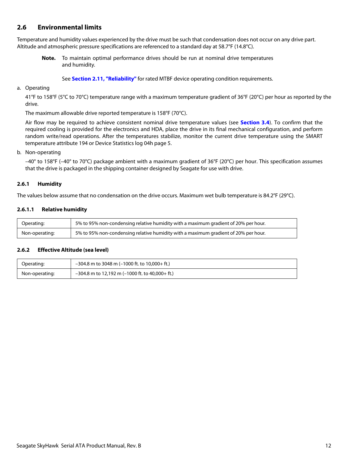# <span id="page-12-0"></span>**2.6 Environmental limits**

Temperature and humidity values experienced by the drive must be such that condensation does not occur on any drive part. Altitude and atmospheric pressure specifications are referenced to a standard day at 58.7°F (14.8°C).

**Note.** To maintain optimal performance drives should be run at nominal drive temperatures and humidity.

See **[Section 2.11, "Reliability"](#page-15-0)** for rated MTBF device operating condition requirements.

#### a. Operating

41°F to 158°F (5°C to 70°C) temperature range with a maximum temperature gradient of 36°F (20°C) per hour as reported by the drive.

The maximum allowable drive reported temperature is 158°F (70°C).

Air flow may be required to achieve consistent nominal drive temperature values (see **[Section 3.4](#page-21-4)**). To confirm that the required cooling is provided for the electronics and HDA, place the drive in its final mechanical configuration, and perform random write/read operations. After the temperatures stabilize, monitor the current drive temperature using the SMART temperature attribute 194 or Device Statistics log 04h page 5.

b. Non-operating

–40° to 158°F (–40° to 70°C) package ambient with a maximum gradient of 36°F (20°C) per hour. This specification assumes that the drive is packaged in the shipping container designed by Seagate for use with drive.

#### <span id="page-12-1"></span>**2.6.1 Humidity**

The values below assume that no condensation on the drive occurs. Maximum wet bulb temperature is 84.2°F (29°C).

#### **2.6.1.1 Relative humidity**

| Operating:     | 5% to 95% non-condensing relative humidity with a maximum gradient of 20% per hour. |
|----------------|-------------------------------------------------------------------------------------|
| Non-operating: | 5% to 95% non-condensing relative humidity with a maximum gradient of 20% per hour. |

#### <span id="page-12-2"></span>**2.6.2 Effective Altitude (sea level)**

| Operating:     | $-304.8$ m to 3048 m (-1000 ft. to 10,000+ ft.)   |
|----------------|---------------------------------------------------|
| Non-operating: | $-304.8$ m to 12,192 m (-1000 ft. to 40,000+ ft.) |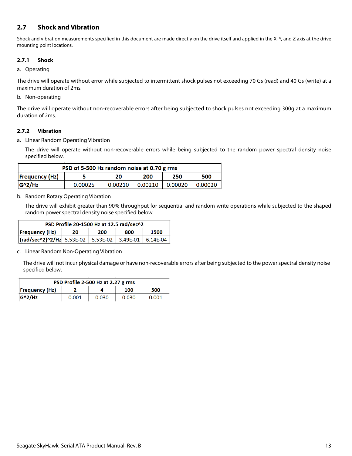# <span id="page-13-0"></span>**2.7 Shock and Vibration**

Shock and vibration measurements specified in this document are made directly on the drive itself and applied in the X, Y, and Z axis at the drive mounting point locations.

## <span id="page-13-1"></span>**2.7.1 Shock**

#### a. Operating

The drive will operate without error while subjected to intermittent shock pulses not exceeding 70 Gs (read) and 40 Gs (write) at a maximum duration of 2ms.

## b. Non-operating

The drive will operate without non-recoverable errors after being subjected to shock pulses not exceeding 300g at a maximum duration of 2ms.

## <span id="page-13-2"></span>**2.7.2 Vibration**

a. Linear Random Operating Vibration

The drive will operate without non-recoverable errors while being subjected to the random power spectral density noise specified below.

| PSD of 5-500 Hz random noise at 0.70 g rms |         |         |         |         |         |
|--------------------------------------------|---------|---------|---------|---------|---------|
| <b>Frequency (Hz)</b>                      |         | 20      | 200     | 250     | 500     |
| $G^2/Hz$                                   | 0.00025 | 0.00210 | 0.00210 | 0.00020 | 0.00020 |

### b. Random Rotary Operating Vibration

The drive will exhibit greater than 90% throughput for sequential and random write operations while subjected to the shaped random power spectral density noise specified below.

| PSD Profile 20-1500 Hz at 12.5 rad/sec^2 |    |     |     |      |
|------------------------------------------|----|-----|-----|------|
| <b>Frequency (Hz)</b>                    | 20 | 200 | 800 | 1500 |
|                                          |    |     |     |      |

c. Linear Random Non-Operating Vibration

The drive will not incur physical damage or have non-recoverable errors after being subjected to the power spectral density noise specified below.

| PSD Profile 2-500 Hz at 2.27 g rms |       |       |       |       |
|------------------------------------|-------|-------|-------|-------|
| Frequency(Hz)                      |       |       | 100   | 500   |
| $ G^2/HZ $                         | 0.001 | 0.030 | 0.030 | 0.001 |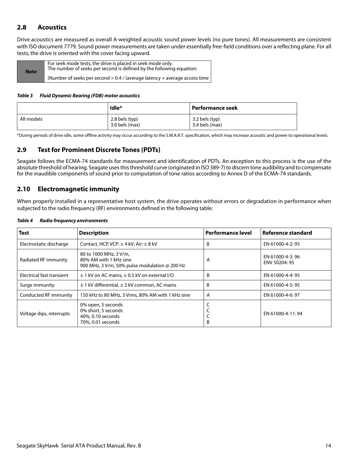# <span id="page-14-0"></span>**2.8 Acoustics**

Drive acoustics are measured as overall A-weighted acoustic sound power levels (no pure tones). All measurements are consistent with ISO document 7779. Sound power measurements are taken under essentially free-field conditions over a reflecting plane. For all tests, the drive is oriented with the cover facing upward.

| <b>Note</b> | For seek mode tests, the drive is placed in seek mode only.<br>The number of seeks per second is defined by the following equation: |
|-------------|-------------------------------------------------------------------------------------------------------------------------------------|
|             | (Number of seeks per second $= 0.4$ / (average latency + average access time )                                                      |

#### *Table 3 Fluid Dynamic Bearing (FDB) motor acoustics*

|            | Idle*                                | Performance seek                 |
|------------|--------------------------------------|----------------------------------|
| All models | $2.8$ bels (typ)<br>$3.0$ bels (max) | 3.2 bels (typ)<br>3.4 bels (max) |

\*During periods of drive idle, some offline activity may occur according to the S.M.A.R.T. specification, which may increase acoustic and power to operational levels.

# <span id="page-14-1"></span>**2.9 Test for Prominent Discrete Tones (PDTs)**

Seagate follows the ECMA-74 standards for measurement and identification of PDTs. An exception to this process is the use of the absolute threshold of hearing. Seagate uses this threshold curve (originated in ISO 389-7) to discern tone audibility and to compensate for the inaudible components of sound prior to computation of tone ratios according to Annex D of the ECMA-74 standards.

# <span id="page-14-2"></span>**2.10 Electromagnetic immunity**

When properly installed in a representative host system, the drive operates without errors or degradation in performance when subjected to the radio frequency (RF) environments defined in the following table:

| <b>Test</b>               | <b>Description</b>                                                                                | <b>Performance level</b> | Reference standard               |
|---------------------------|---------------------------------------------------------------------------------------------------|--------------------------|----------------------------------|
| Electrostatic discharge   | Contact, HCP, VCP: $\pm$ 4 kV; Air: $\pm$ 8 kV                                                    | B                        | EN 61000-4-2: 95                 |
| Radiated RF immunity      | 80 to 1000 MHz, 3 V/m,<br>80% AM with 1 kHz sine<br>900 MHz, 3 V/m, 50% pulse modulation @ 200 Hz | A                        | EN 61000-4-3:96<br>ENV 50204: 95 |
| Electrical fast transient | $\pm$ 1 kV on AC mains, $\pm$ 0.5 kV on external I/O                                              | B                        | EN 61000-4-4: 95                 |
| Surge immunity            | $\pm$ 1 kV differential, $\pm$ 2 kV common, AC mains                                              | B                        | EN 61000-4-5: 95                 |
| Conducted RF immunity     | 150 kHz to 80 MHz, 3 Vrms, 80% AM with 1 kHz sine                                                 | A                        | EN 61000-4-6: 97                 |
| Voltage dips, interrupts  | 0% open, 5 seconds<br>0% short, 5 seconds<br>40%, 0.10 seconds<br>70%, 0.01 seconds               | B                        | EN 61000-4-11:94                 |

#### *Table 4 Radio frequency environments*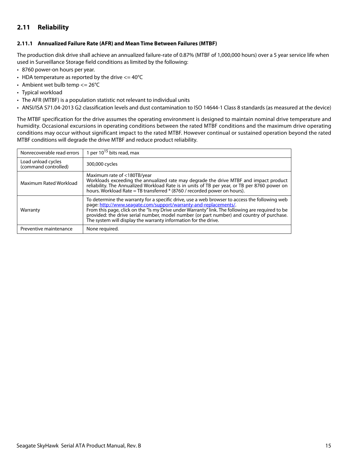# <span id="page-15-0"></span>**2.11 Reliability**

### <span id="page-15-1"></span>**2.11.1 Annualized Failure Rate (AFR) and Mean Time Between Failures (MTBF)**

The production disk drive shall achieve an annualized failure-rate of 0.87% (MTBF of 1,000,000 hours) over a 5 year service life when used in Surveillance Storage field conditions as limited by the following:

- 8760 power-on hours per year.
- HDA temperature as reported by the drive  $\epsilon$  = 40°C
- Ambient wet bulb temp  $<= 26^{\circ}C$
- Typical workload
- The AFR (MTBF) is a population statistic not relevant to individual units
- ANSI/ISA S71.04-2013 G2 classification levels and dust contamination to ISO 14644-1 Class 8 standards (as measured at the device)

The MTBF specification for the drive assumes the operating environment is designed to maintain nominal drive temperature and humidity. Occasional excursions in operating conditions between the rated MTBF conditions and the maximum drive operating conditions may occur without significant impact to the rated MTBF. However continual or sustained operation beyond the rated MTBF conditions will degrade the drive MTBF and reduce product reliability.

| Nonrecoverable read errors                 | 1 per $10^{15}$ bits read, max                                                                                                                                                                                                                                                                                                                                                                                                        |
|--------------------------------------------|---------------------------------------------------------------------------------------------------------------------------------------------------------------------------------------------------------------------------------------------------------------------------------------------------------------------------------------------------------------------------------------------------------------------------------------|
| Load unload cycles<br>(command controlled) | 300,000 cycles                                                                                                                                                                                                                                                                                                                                                                                                                        |
| Maximum Rated Workload                     | Maximum rate of <180TB/year<br>Workloads exceeding the annualized rate may degrade the drive MTBF and impact product<br>reliability. The Annualized Workload Rate is in units of TB per year, or TB per 8760 power on<br>hours. Workload Rate = TB transferred * (8760 / recorded power on hours).                                                                                                                                    |
| Warranty                                   | To determine the warranty for a specific drive, use a web browser to access the following web<br>page: http://www.seagate.com/support/warranty-and-replacements/.<br>From this page, click on the "Is my Drive under Warranty" link. The following are required to be<br>provided: the drive serial number, model number (or part number) and country of purchase.<br>The system will display the warranty information for the drive. |
| Preventive maintenance                     | None required.                                                                                                                                                                                                                                                                                                                                                                                                                        |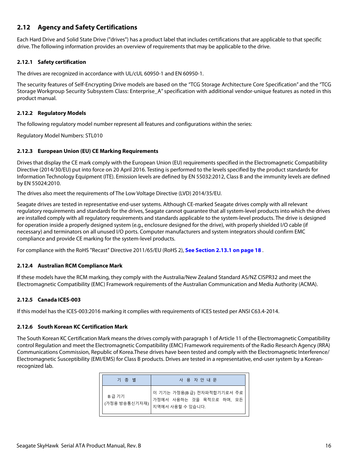# <span id="page-16-0"></span>**2.12 Agency and Safety Certifications**

Each Hard Drive and Solid State Drive ("drives") has a product label that includes certifications that are applicable to that specific drive. The following information provides an overview of requirements that may be applicable to the drive.

# <span id="page-16-1"></span>**2.12.1 Safety certification**

The drives are recognized in accordance with UL/cUL 60950-1 and EN 60950-1.

The security features of Self-Encrypting Drive models are based on the "TCG Storage Architecture Core Specification" and the "TCG Storage Workgroup Security Subsystem Class: Enterprise A" specification with additional vendor-unique features as noted in this product manual.

## <span id="page-16-2"></span>**2.12.2 Regulatory Models**

The following regulatory model number represent all features and configurations within the series:

Regulatory Model Numbers: STL010

### <span id="page-16-3"></span>**2.12.3 European Union (EU) CE Marking Requirements**

Drives that display the CE mark comply with the European Union (EU) requirements specified in the Electromagnetic Compatibility Directive (2014/30/EU) put into force on 20 April 2016. Testing is performed to the levels specified by the product standards for Information Technology Equipment (ITE). Emission levels are defined by EN 55032:2012, Class B and the immunity levels are defined by EN 55024:2010.

The drives also meet the requirements of The Low Voltage Directive (LVD) 2014/35/EU.

Seagate drives are tested in representative end-user systems. Although CE-marked Seagate drives comply with all relevant regulatory requirements and standards for the drives, Seagate cannot guarantee that all system-level products into which the drives are installed comply with all regulatory requirements and standards applicable to the system-level products. The drive is designed for operation inside a properly designed system (e.g., enclosure designed for the drive), with properly shielded I/O cable (if necessary) and terminators on all unused I/O ports. Computer manufacturers and system integrators should confirm EMC compliance and provide CE marking for the system-level products.

For compliance with the RoHS "Recast" Directive 2011/65/EU (RoHS 2), **[See Section 2.13.1 on page 18](#page-18-1)** .

## <span id="page-16-4"></span>**2.12.4 Australian RCM Compliance Mark**

If these models have the RCM marking, they comply with the Australia/New Zealand Standard AS/NZ CISPR32 and meet the Electromagnetic Compatibility (EMC) Framework requirements of the Australian Communication and Media Authority (ACMA).

## <span id="page-16-5"></span>**2.12.5 Canada ICES-003**

If this model has the ICES-003:2016 marking it complies with requirements of ICES tested per ANSI C63.4-2014.

## <span id="page-16-6"></span>**2.12.6 South Korean KC Certification Mark**

The South Korean KC Certification Mark means the drives comply with paragraph 1 of Article 11 of the Electromagnetic Compatibility control Regulation and meet the Electromagnetic Compatibility (EMC) Framework requirements of the Radio Research Agency (RRA) Communications Commission, Republic of Korea.These drives have been tested and comply with the Electromagnetic Interference/ Electromagnetic Susceptibility (EMI/EMS) for Class B products. Drives are tested in a representative, end-user system by a Koreanrecognized lab.

| 기 종 별                  | 사 용 자 안 내 문                                                                |
|------------------------|----------------------------------------------------------------------------|
| B급 기기<br>(가정용 방송통신기자재) | 이 기기는 가정용(B급) 전자파적합기기로서 주로<br>가정에서 사용하는 것을 목적으로 하며, 모든<br>지역에서 사용할 수 있습니다. |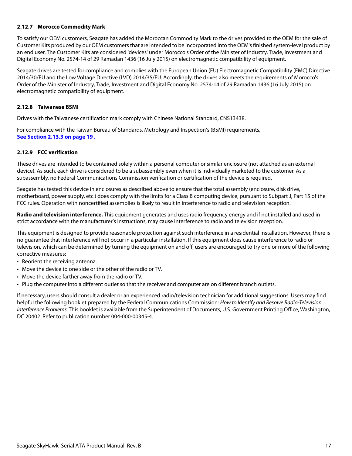## <span id="page-17-0"></span>**2.12.7 Morocco Commodity Mark**

To satisfy our OEM customers, Seagate has added the Moroccan Commodity Mark to the drives provided to the OEM for the sale of Customer Kits produced by our OEM customers that are intended to be incorporated into the OEM's finished system-level product by an end user. The Customer Kits are considered 'devices' under Morocco's Order of the Minister of Industry, Trade, Investment and Digital Economy No. 2574-14 of 29 Ramadan 1436 (16 July 2015) on electromagnetic compatibility of equipment.

Seagate drives are tested for compliance and complies with the European Union (EU) Electromagnetic Compatibility (EMC) Directive 2014/30/EU and the Low Voltage Directive (LVD) 2014/35/EU. Accordingly, the drives also meets the requirements of Morocco's Order of the Minister of Industry, Trade, Investment and Digital Economy No. 2574-14 of 29 Ramadan 1436 (16 July 2015) on electromagnetic compatibility of equipment.

#### <span id="page-17-1"></span>**2.12.8 Taiwanese BSMI**

Drives with the Taiwanese certification mark comply with Chinese National Standard, CNS13438.

For compliance with the Taiwan Bureau of Standards, Metrology and Inspection's (BSMI) requirements, **[See Section 2.13.3 on page 19](#page-19-0)** .

### <span id="page-17-2"></span>**2.12.9 FCC verification**

These drives are intended to be contained solely within a personal computer or similar enclosure (not attached as an external device). As such, each drive is considered to be a subassembly even when it is individually marketed to the customer. As a subassembly, no Federal Communications Commission verification or certification of the device is required.

Seagate has tested this device in enclosures as described above to ensure that the total assembly (enclosure, disk drive, motherboard, power supply, etc.) does comply with the limits for a Class B computing device, pursuant to Subpart J, Part 15 of the FCC rules. Operation with noncertified assemblies is likely to result in interference to radio and television reception.

**Radio and television interference.** This equipment generates and uses radio frequency energy and if not installed and used in strict accordance with the manufacturer's instructions, may cause interference to radio and television reception.

This equipment is designed to provide reasonable protection against such interference in a residential installation. However, there is no guarantee that interference will not occur in a particular installation. If this equipment does cause interference to radio or television, which can be determined by turning the equipment on and off, users are encouraged to try one or more of the following corrective measures:

- Reorient the receiving antenna.
- Move the device to one side or the other of the radio or TV.
- Move the device farther away from the radio or TV.
- Plug the computer into a different outlet so that the receiver and computer are on different branch outlets.

If necessary, users should consult a dealer or an experienced radio/television technician for additional suggestions. Users may find helpful the following booklet prepared by the Federal Communications Commission: How to Identify and Resolve Radio-Television Interference Problems. This booklet is available from the Superintendent of Documents, U.S. Government Printing Office, Washington, DC 20402. Refer to publication number 004-000-00345-4.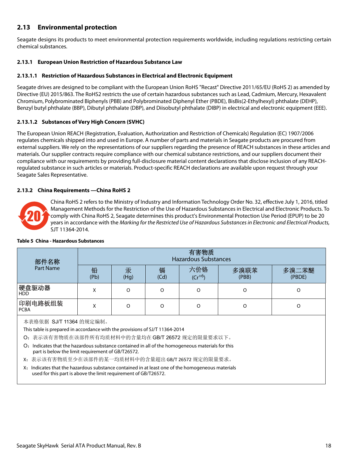# <span id="page-18-0"></span>**2.13 Environmental protection**

Seagate designs its products to meet environmental protection requirements worldwide, including regulations restricting certain chemical substances.

# <span id="page-18-1"></span>**2.13.1 European Union Restriction of Hazardous Substance Law**

## **2.13.1.1 Restriction of Hazardous Substances in Electrical and Electronic Equipment**

Seagate drives are designed to be compliant with the European Union RoHS "Recast" Directive 2011/65/EU (RoHS 2) as amended by Directive (EU) 2015/863. The RoHS2 restricts the use of certain hazardous substances such as Lead, Cadmium, Mercury, Hexavalent Chromium, Polybrominated Biphenyls (PBB) and Polybrominated Diphenyl Ether (PBDE), BisBis(2-Ethylhexyl) phthalate (DEHP), Benzyl butyl phthalate (BBP), Dibutyl phthalate (DBP), and Diisobutyl phthalate (DIBP) in electrical and electronic equipment (EEE).

# **2.13.1.2 Substances of Very High Concern (SVHC)**

The European Union REACH (Registration, Evaluation, Authorization and Restriction of Chemicals) Regulation (EC) 1907/2006 regulates chemicals shipped into and used in Europe. A number of parts and materials in Seagate products are procured from external suppliers. We rely on the representations of our suppliers regarding the presence of REACH substances in these articles and materials. Our supplier contracts require compliance with our chemical substance restrictions, and our suppliers document their compliance with our requirements by providing full-disclosure material content declarations that disclose inclusion of any REACHregulated substance in such articles or materials. Product-specific REACH declarations are available upon request through your Seagate Sales Representative.

## <span id="page-18-2"></span>**2.13.2 China Requirements —China RoHS 2**



China RoHS 2 refers to the Ministry of Industry and Information Technology Order No. 32, effective July 1, 2016, titled Management Methods for the Restriction of the Use of Hazardous Substances in Electrical and Electronic Products. To comply with China RoHS 2, Seagate determines this product's Environmental Protection Use Period (EPUP) to be 20 years in accordance with the Marking for the Restricted Use of Hazardous Substances in Electronic and Electrical Products, SJT 11364-2014.

| 部件名称                                                                                                                                                                | 有害物质<br><b>Hazardous Substances</b> |           |           |                    |               |                 |
|---------------------------------------------------------------------------------------------------------------------------------------------------------------------|-------------------------------------|-----------|-----------|--------------------|---------------|-----------------|
| <b>Part Name</b>                                                                                                                                                    | 铅<br>(Pb)                           | 汞<br>(Hq) | 镉<br>(Cd) | 六价铬<br>$(Cr^{+6})$ | 多溴联苯<br>(PBB) | 多溴二苯醚<br>(PBDE) |
| 硬盘驱动器<br><b>HDD</b>                                                                                                                                                 | X                                   | $\Omega$  | O         | $\Omega$           | O             | O               |
| 印刷电路板组装<br><b>PCBA</b>                                                                                                                                              | X                                   |           | $\Omega$  | $\Omega$           | O             | O               |
| 本表格依据 SJ/T 11364 的规定编制。<br>This table is prepared in accordance with the provisions of SJ/T 11364-2014<br>O: 表示该有害物质在该部件所有均质材料中的含量均在 GB/T 26572 规定的限量要求以下。          |                                     |           |           |                    |               |                 |
| Indicates that the hazardous substance contained in all of the homogeneous materials for this<br>O:<br>part is below the limit requirement of GB/T26572.            |                                     |           |           |                    |               |                 |
| X: 表示该有害物质至少在该部件的某一均质材料中的含量超出 GB/T 26572 规定的限量要求。                                                                                                                   |                                     |           |           |                    |               |                 |
| X: Indicates that the hazardous substance contained in at least one of the homogeneous materials<br>used for this part is above the limit requirement of GB/T26572. |                                     |           |           |                    |               |                 |

#### **Table 5 China - Hazardous Substances**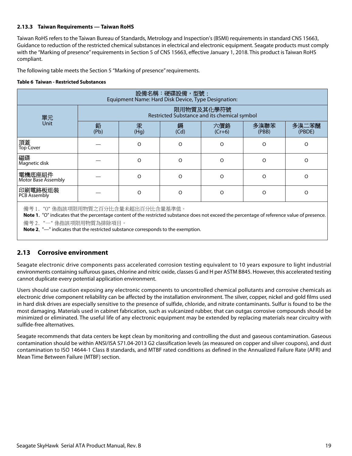## <span id="page-19-0"></span>**2.13.3 Taiwan Requirements — Taiwan RoHS**

Taiwan RoHS refers to the Taiwan Bureau of Standards, Metrology and Inspection's (BSMI) requirements in standard CNS 15663, Guidance to reduction of the restricted chemical substances in electrical and electronic equipment. Seagate products must comply with the "Marking of presence" requirements in Section 5 of CNS 15663, effective January 1, 2018. This product is Taiwan RoHS compliant.

The following table meets the Section 5 "Marking of presence" requirements.

#### **Table 6 Taiwan - Restricted Substances**

| 設備名稱:硬碟設備,型號:<br>Equipment Name: Hard Disk Device, Type Designation:                                                                                                                                                                                                 |                                                            |           |           |                 |               |                 |  |
|----------------------------------------------------------------------------------------------------------------------------------------------------------------------------------------------------------------------------------------------------------------------|------------------------------------------------------------|-----------|-----------|-----------------|---------------|-----------------|--|
| 單元                                                                                                                                                                                                                                                                   | 限用物質及其化學符號<br>Restricted Substance and its chemical symbol |           |           |                 |               |                 |  |
| <b>Unit</b>                                                                                                                                                                                                                                                          | 鉛<br>(Pb)                                                  | 汞<br>(Hg) | 銿<br>(Cd) | 六價鉻<br>$(Cr+6)$ | 多溴聯苯<br>(PBB) | 多溴二苯醚<br>(PBDE) |  |
| 頂蓋<br><b>Top Cover</b>                                                                                                                                                                                                                                               |                                                            | O         | $\Omega$  | $\Omega$        | $\Omega$      | $\Omega$        |  |
| 磁碟<br>Magnetic disk                                                                                                                                                                                                                                                  |                                                            | $\Omega$  | $\Omega$  | $\Omega$        | $\Omega$      | $\Omega$        |  |
| 電機底座組件<br><b>Motor Base Assembly</b>                                                                                                                                                                                                                                 |                                                            | O         | $\Omega$  | $\Omega$        | $\Omega$      | $\Omega$        |  |
| 印刷電路板组装<br><b>PCB Assembly</b>                                                                                                                                                                                                                                       |                                                            | O         | $\Omega$  | $\Omega$        | $\Omega$      | $\Omega$        |  |
| Note 1. "O" indicates that the percentage content of the restricted substance does not exceed the percentage of reference value of presence.<br>備考 2. "一" 係指該项限用物質為排除項目。<br><b>Note 2.</b> "-" indicates that the restricted substance corresponds to the exemption. |                                                            |           |           |                 |               |                 |  |

# <span id="page-19-1"></span>**2.13 Corrosive environment**

Seagate electronic drive components pass accelerated corrosion testing equivalent to 10 years exposure to light industrial environments containing sulfurous gases, chlorine and nitric oxide, classes G and H per ASTM B845. However, this accelerated testing cannot duplicate every potential application environment.

Users should use caution exposing any electronic components to uncontrolled chemical pollutants and corrosive chemicals as electronic drive component reliability can be affected by the installation environment. The silver, copper, nickel and gold films used in hard disk drives are especially sensitive to the presence of sulfide, chloride, and nitrate contaminants. Sulfur is found to be the most damaging. Materials used in cabinet fabrication, such as vulcanized rubber, that can outgas corrosive compounds should be minimized or eliminated. The useful life of any electronic equipment may be extended by replacing materials near circuitry with sulfide-free alternatives.

Seagate recommends that data centers be kept clean by monitoring and controlling the dust and gaseous contamination. Gaseous contamination should be within ANSI/ISA S71.04-2013 G2 classification levels (as measured on copper and silver coupons), and dust contamination to ISO 14644-1 Class 8 standards, and MTBF rated conditions as defined in the Annualized Failure Rate (AFR) and Mean Time Between Failure (MTBF) section.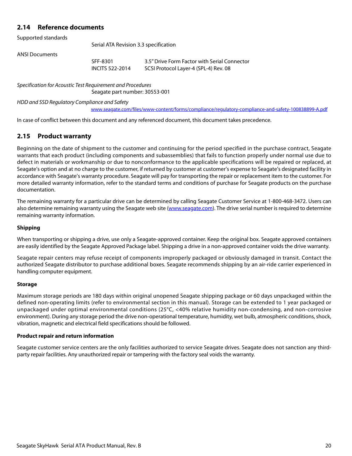# <span id="page-20-0"></span>**2.14 Reference documents**

Supported standards

Serial ATA Revision 3.3 specification

ANSI Documents

SFF-8301 3.5" Drive Form Factor with Serial Connector INCITS 522-2014 SCSI Protocol Layer-4 (SPL-4) Rev. 08

Specification for Acoustic Test Requirement and Procedures

Seagate part number: 30553-001

HDD and SSD Regulatory Compliance and Safety

[w](www.seagate.com/files/www-content/forms/compliance/regulatory-compliance-and-safety-100838899-A.pdf)ww.seagate.com/files/www-content/forms/compliance/regulatory-compliance-and-safety-100838899-A.pdf

In case of conflict between this document and any referenced document, this document takes precedence.

# <span id="page-20-1"></span>**2.15 Product warranty**

Beginning on the date of shipment to the customer and continuing for the period specified in the purchase contract, Seagate warrants that each product (including components and subassemblies) that fails to function properly under normal use due to defect in materials or workmanship or due to nonconformance to the applicable specifications will be repaired or replaced, at Seagate's option and at no charge to the customer, if returned by customer at customer's expense to Seagate's designated facility in accordance with Seagate's warranty procedure. Seagate will pay for transporting the repair or replacement item to the customer. For more detailed warranty information, refer to the standard terms and conditions of purchase for Seagate products on the purchase documentation.

[The remaining warranty for a particular drive can be determined by calling Seagate Customer Service at 1-800-468-3472. Users can](http://www.seagate.com) [also determine remaining warranty using the Seagate web site \(](http://www.seagate.com)www.seagate.com). The drive serial number is required to determine remaining warranty information.

#### **Shipping**

When transporting or shipping a drive, use only a Seagate-approved container. Keep the original box. Seagate approved containers are easily identified by the Seagate Approved Package label. Shipping a drive in a non-approved container voids the drive warranty.

Seagate repair centers may refuse receipt of components improperly packaged or obviously damaged in transit. Contact the authorized Seagate distributor to purchase additional boxes. Seagate recommends shipping by an air-ride carrier experienced in handling computer equipment.

#### **Storage**

Maximum storage periods are 180 days within original unopened Seagate shipping package or 60 days unpackaged within the defined non-operating limits (refer to environmental section in this manual). Storage can be extended to 1 year packaged or unpackaged under optimal environmental conditions (25°C, <40% relative humidity non-condensing, and non-corrosive environment). During any storage period the drive non-operational temperature, humidity, wet bulb, atmospheric conditions, shock, vibration, magnetic and electrical field specifications should be followed.

#### **Product repair and return information**

Seagate customer service centers are the only facilities authorized to service Seagate drives. Seagate does not sanction any thirdparty repair facilities. Any unauthorized repair or tampering with the factory seal voids the warranty.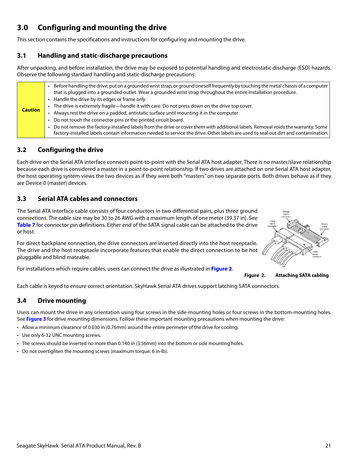# <span id="page-21-0"></span>**3.0 Configuring and mounting the drive**

This section contains the specifications and instructions for configuring and mounting the drive.

# <span id="page-21-1"></span>**3.1 Handling and static-discharge precautions**

After unpacking, and before installation, the drive may be exposed to potential handling and electrostatic discharge (ESD) hazards. Observe the following standard handling and static-discharge precautions:

# <span id="page-21-2"></span>**3.2 Configuring the drive**

Each drive on the Serial ATA interface connects point-to-point with the Serial ATA host adapter. There is no master/slave relationship because each drive is considered a master in a point-to-point relationship. If two drives are attached on one Serial ATA host adapter, the host operating system views the two devices as if they were both "masters" on two separate ports. Both drives behave as if they are Device 0 (master) devices.

# <span id="page-21-3"></span>**3.3 Serial ATA cables and connectors**

The Serial ATA interface cable consists of four conductors in two differential pairs, plus three ground connections. The cable size may be 30 to 26 AWG with a maximum length of one meter (39.37 in). See **Table 7** for connector pin definitions. Either end of the SATA signal cable can be attached to the drive or host.

For direct backplane connection, the drive connectors are inserted directly into the host receptacle. The drive and the host receptacle incorporate features that enable the direct connection to be hot pluggable and blind mateable.

<span id="page-21-5"></span>For installations which require cables, users can connect the drive as illustrated in **[Figure 2](#page-21-5)**.

**Figure 2. Attaching SATA cabling**

Each cable is keyed to ensure correct orientation. SkyHawk Serial ATA drives support latching SATA connectors.

# <span id="page-21-4"></span>**3.4 Drive mounting**

Users can mount the drive in any orientation using four screws in the side-mounting holes or four screws in the bottom-mounting holes. See **Figure 3** for drive mounting dimensions. Follow these important mounting precautions when mounting the drive:

- Allow a minimum clearance of 0.030 in (0.76mm) around the entire perimeter of the drive for cooling.
- Use only 6-32 UNC mounting screws.
- The screws should be inserted no more than 0.140 in (3.56mm) into the bottom or side mounting holes.
- Do not overtighten the mounting screws (maximum torque: 6 in-lb).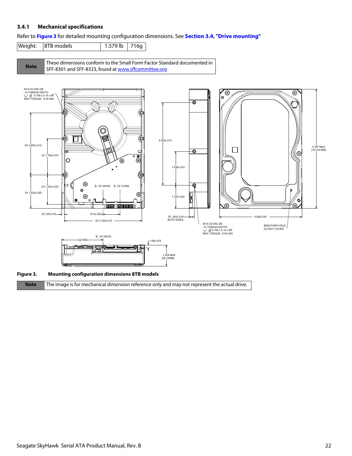## <span id="page-22-0"></span>**3.4.1 Mechanical specifications**

Refer to **Figure 3** for detailed mounting configuration dimensions. See **[Section 3.4, "Drive mounting"](#page-21-4)**

Weight: 8TB models | 1.579 lb 716g

**Note** [These dimensions conform to the Small Form Factor Standard documented in](http://found at www.sffcommittee.org/)  [SFF-8301 and SFF-8323, found at w](http://found at www.sffcommittee.org/)ww.sffcommittee.org



**Note** The image is for mechanical dimension reference only and may not represent the actual drive.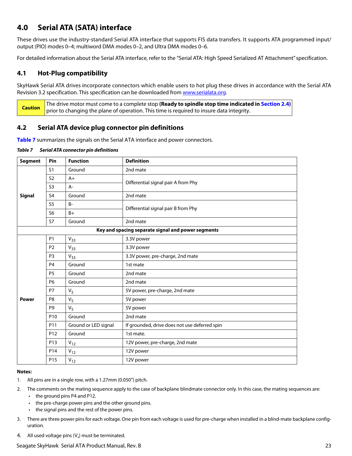# <span id="page-23-0"></span>**4.0 Serial ATA (SATA) interface**

These drives use the industry-standard Serial ATA interface that supports FIS data transfers. It supports ATA programmed input/ output (PIO) modes 0–4; multiword DMA modes 0–2, and Ultra DMA modes 0–6.

For detailed information about the Serial ATA interface, refer to the "Serial ATA: High Speed Serialized AT Attachment" specification.

# <span id="page-23-1"></span>**4.1 Hot-Plug compatibility**

SkyHawk Serial ATA drives incorporate connectors which enable users to hot plug these drives in accordance with the Serial ATA Revision 3.2 specification. This specification can be downloaded from [www.serialata.or](http://www.serialata.org)g.

**Caution** The drive motor must come to a complete stop **(Ready to spindle stop time indicated in [Section 2.4](#page-8-1))** prior to changing the plane of operation. This time is required to insure data integrity.

# <span id="page-23-2"></span>**4.2 Serial ATA device plug connector pin definitions**

**Table 7** summarizes the signals on the Serial ATA interface and power connectors.

*Table 7 Serial ATA connector pin definitions*

| <b>Segment</b> | Pin             | <b>Function</b>      | <b>Definition</b>                                  |
|----------------|-----------------|----------------------|----------------------------------------------------|
|                | S <sub>1</sub>  | Ground               | 2nd mate                                           |
|                | S <sub>2</sub>  | $A+$                 | Differential signal pair A from Phy                |
|                | S <sub>3</sub>  | $A-$                 |                                                    |
| <b>Signal</b>  | S <sub>4</sub>  | Ground               | 2nd mate                                           |
|                | S <sub>5</sub>  | $B -$                | Differential signal pair B from Phy                |
|                | S <sub>6</sub>  | $B+$                 |                                                    |
|                | S7              | Ground               | 2nd mate                                           |
|                |                 |                      | Key and spacing separate signal and power segments |
|                | <b>P1</b>       | $V_{33}$             | 3.3V power                                         |
|                | P <sub>2</sub>  | $V_{33}$             | 3.3V power                                         |
|                | P <sub>3</sub>  | $V_{33}$             | 3.3V power, pre-charge, 2nd mate                   |
|                | P <sub>4</sub>  | Ground               | 1st mate                                           |
|                | <b>P5</b>       | Ground               | 2nd mate                                           |
|                | P6              | Ground               | 2nd mate                                           |
|                | P7              | V <sub>5</sub>       | 5V power, pre-charge, 2nd mate                     |
| <b>Power</b>   | P <sub>8</sub>  | $V_5$                | 5V power                                           |
|                | P <sub>9</sub>  | V <sub>5</sub>       | 5V power                                           |
|                | P <sub>10</sub> | Ground               | 2nd mate                                           |
|                | P11             | Ground or LED signal | If grounded, drive does not use deferred spin      |
|                | P <sub>12</sub> | Ground               | 1st mate.                                          |
|                | P13             | $V_{12}$             | 12V power, pre-charge, 2nd mate                    |
|                | P14             | $V_{12}$             | 12V power                                          |
|                | P <sub>15</sub> | $V_{12}$             | 12V power                                          |

#### **Notes:**

- 1. All pins are in a single row, with a 1.27mm (0.050") pitch.
- 2. The comments on the mating sequence apply to the case of backplane blindmate connector only. In this case, the mating sequences are:
	- the ground pins P4 and P12.
	- the pre-charge power pins and the other ground pins.
	- the signal pins and the rest of the power pins.
- 3. There are three power pins for each voltage. One pin from each voltage is used for pre-charge when installed in a blind-mate backplane configuration.
- 4. All used voltage pins  $(V_x)$  must be terminated.

## Seagate SkyHawk Serial ATA Product Manual, Rev. B 23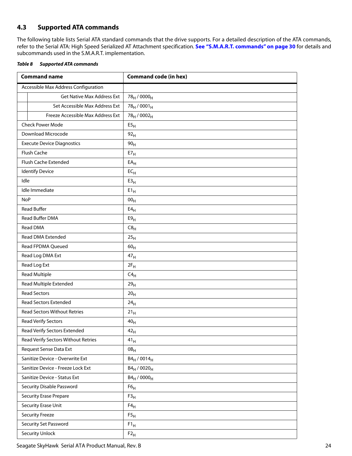# <span id="page-24-0"></span>**4.3 Supported ATA commands**

The following table lists Serial ATA standard commands that the drive supports. For a detailed description of the ATA commands, refer to the Serial ATA: High Speed Serialized AT Attachment specification. **[See "S.M.A.R.T. commands" on page 30](#page-30-0)** for details and subcommands used in the S.M.A.R.T. implementation.

<span id="page-24-1"></span>

| Table 8 | <b>Supported ATA commands</b> |
|---------|-------------------------------|
|         |                               |

| <b>Command name</b>                  | <b>Command code (in hex)</b>        |
|--------------------------------------|-------------------------------------|
| Accessible Max Address Configuration |                                     |
| <b>Get Native Max Address Ext</b>    | 78 <sub>H</sub> / 0000 <sub>H</sub> |
| Set Accessible Max Address Ext       | $78_H / 0001_H$                     |
| Freeze Accessible Max Address Ext    | 78 <sub>H</sub> / 0002 <sub>H</sub> |
| <b>Check Power Mode</b>              | E5 <sub>H</sub>                     |
| Download Microcode                   | 92 <sub>H</sub>                     |
| <b>Execute Device Diagnostics</b>    | 90 <sub>H</sub>                     |
| Flush Cache                          | E7 <sub>H</sub>                     |
| Flush Cache Extended                 | $EA$ <sub>H</sub>                   |
| <b>Identify Device</b>               | $EC_{H}$                            |
| Idle                                 | E3 <sub>H</sub>                     |
| Idle Immediate                       | $E1_H$                              |
| <b>NoP</b>                           | 00 <sub>H</sub>                     |
| <b>Read Buffer</b>                   | E4 <sub>H</sub>                     |
| Read Buffer DMA                      | E9 <sub>H</sub>                     |
| Read DMA                             | C8 <sub>H</sub>                     |
| Read DMA Extended                    | 25 <sub>H</sub>                     |
| Read FPDMA Queued                    | 60 <sub>H</sub>                     |
| Read Log DMA Ext                     | 47 <sub>H</sub>                     |
| Read Log Ext                         | $2F_H$                              |
| <b>Read Multiple</b>                 | $C4_H$                              |
| Read Multiple Extended               | 29 <sub>H</sub>                     |
| <b>Read Sectors</b>                  | 20 <sub>H</sub>                     |
| Read Sectors Extended                | 24 <sub>H</sub>                     |
| <b>Read Sectors Without Retries</b>  | 21 <sub>H</sub>                     |
| Read Verify Sectors                  | $40_H$                              |
| Read Verify Sectors Extended         | $42_{\rm H}$                        |
| Read Verify Sectors Without Retries  | $41_H$                              |
| Request Sense Data Ext               | OB <sub>H</sub>                     |
| Sanitize Device - Overwrite Ext      | $B4_H / 0014_H$                     |
| Sanitize Device - Freeze Lock Ext    | $B4_H / 0020_H$                     |
| Sanitize Device - Status Ext         | $B4_H / 0000_H$                     |
| Security Disable Password            | F6 <sub>H</sub>                     |
| <b>Security Erase Prepare</b>        | F3 <sub>H</sub>                     |
| Security Erase Unit                  | $F4_H$                              |
| <b>Security Freeze</b>               | F5 <sub>H</sub>                     |
| Security Set Password                | $F1_H$                              |
| <b>Security Unlock</b>               | $F2_H$                              |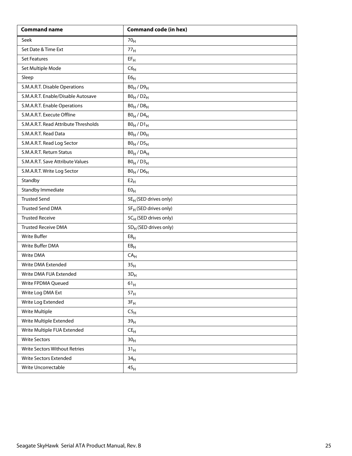| <b>Command name</b>                  | <b>Command code (in hex)</b>      |
|--------------------------------------|-----------------------------------|
| Seek                                 | 70 <sub>H</sub>                   |
| Set Date & Time Ext                  | 77 <sub>H</sub>                   |
| <b>Set Features</b>                  | $EF_H$                            |
| Set Multiple Mode                    | C6 <sub>H</sub>                   |
| Sleep                                | ${\sf E6}_{\sf H}$                |
| S.M.A.R.T. Disable Operations        | $B0_H / D9_H$                     |
| S.M.A.R.T. Enable/Disable Autosave   | $B0_H / D2_H$                     |
| S.M.A.R.T. Enable Operations         | $B0_H / D8_H$                     |
| S.M.A.R.T. Execute Offline           | $B0_H$ / $D4_H$                   |
| S.M.A.R.T. Read Attribute Thresholds | $B0_H / D1_H$                     |
| S.M.A.R.T. Read Data                 | $B0_H / D0_H$                     |
| S.M.A.R.T. Read Log Sector           | $B0_H / D5_H$                     |
| S.M.A.R.T. Return Status             | $BO_H / DA_H$                     |
| S.M.A.R.T. Save Attribute Values     | $B0_H / D3_H$                     |
| S.M.A.R.T. Write Log Sector          | $B0_H$ / $D6_H$                   |
| Standby                              | E2 <sub>H</sub>                   |
| Standby Immediate                    | E0 <sub>H</sub>                   |
| <b>Trusted Send</b>                  | 5E <sub>H</sub> (SED drives only) |
| <b>Trusted Send DMA</b>              | 5F <sub>H</sub> (SED drives only) |
| <b>Trusted Receive</b>               | 5CH (SED drives only)             |
| <b>Trusted Receive DMA</b>           | 5D <sub>H</sub> (SED drives only) |
| <b>Write Buffer</b>                  | E8 <sub>H</sub>                   |
| Write Buffer DMA                     | EB <sub>H</sub>                   |
| Write DMA                            | CA <sub>H</sub>                   |
| Write DMA Extended                   | 35 <sub>H</sub>                   |
| Write DMA FUA Extended               | $3D_H$                            |
| Write FPDMA Queued                   | $61_{\rm H}$                      |
| Write Log DMA Ext                    | 57 <sub>H</sub>                   |
| Write Log Extended                   | $3F_H$                            |
| Write Multiple                       | C5 <sub>H</sub>                   |
| Write Multiple Extended              | 39 <sub>H</sub>                   |
| Write Multiple FUA Extended          | $\mathsf{CE}_\mathsf{H}$          |
| <b>Write Sectors</b>                 | 30 <sub>H</sub>                   |
| Write Sectors Without Retries        | 31 <sub>H</sub>                   |
| Write Sectors Extended               | 34 <sub>H</sub>                   |
| Write Uncorrectable                  | 45 <sub>H</sub>                   |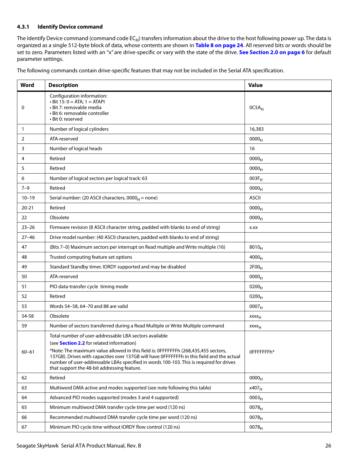### <span id="page-26-0"></span>**4.3.1 Identify Device command**

The Identify Device command (command code  $EC_H$ ) transfers information about the drive to the host following power up. The data is organized as a single 512-byte block of data, whose contents are shown in **[Table 8 on page 24](#page-24-1)**. All reserved bits or words should be set to zero. Parameters listed with an "x" are drive-specific or vary with the state of the drive. **[See Section 2.0 on page 6](#page-6-0)** for default parameter settings.

The following commands contain drive-specific features that may not be included in the Serial ATA specification.

| Word         | <b>Description</b>                                                                                                                                                                                                                                                                                                                                                                                                                       | <b>Value</b>      |
|--------------|------------------------------------------------------------------------------------------------------------------------------------------------------------------------------------------------------------------------------------------------------------------------------------------------------------------------------------------------------------------------------------------------------------------------------------------|-------------------|
| 0            | Configuration information:<br>$\cdot$ Bit 15: 0 = ATA; 1 = ATAPI<br>• Bit 7: removable media<br>· Bit 6: removable controller<br>• Bit 0: reserved                                                                                                                                                                                                                                                                                       | 0C5A <sub>H</sub> |
| $\mathbf{1}$ | Number of logical cylinders                                                                                                                                                                                                                                                                                                                                                                                                              | 16,383            |
| 2            | ATA-reserved                                                                                                                                                                                                                                                                                                                                                                                                                             | 0000 <sub>H</sub> |
| 3            | Number of logical heads                                                                                                                                                                                                                                                                                                                                                                                                                  | 16                |
| 4            | Retired                                                                                                                                                                                                                                                                                                                                                                                                                                  | 0000 <sub>H</sub> |
| 5            | Retired                                                                                                                                                                                                                                                                                                                                                                                                                                  | 0000 <sub>H</sub> |
| 6            | Number of logical sectors per logical track: 63                                                                                                                                                                                                                                                                                                                                                                                          | $003F_H$          |
| $7 - 9$      | Retired                                                                                                                                                                                                                                                                                                                                                                                                                                  | 0000 <sub>H</sub> |
| $10 - 19$    | Serial number: (20 ASCII characters, $0000_H$ = none)                                                                                                                                                                                                                                                                                                                                                                                    | <b>ASCII</b>      |
| $20 - 21$    | Retired                                                                                                                                                                                                                                                                                                                                                                                                                                  | 0000 <sub>H</sub> |
| 22           | Obsolete                                                                                                                                                                                                                                                                                                                                                                                                                                 | 0000 <sub>H</sub> |
| $23 - 26$    | Firmware revision (8 ASCII character string, padded with blanks to end of string)                                                                                                                                                                                                                                                                                                                                                        | X.XX              |
| $27 - 46$    | Drive model number: (40 ASCII characters, padded with blanks to end of string)                                                                                                                                                                                                                                                                                                                                                           |                   |
| 47           | (Bits 7-0) Maximum sectors per interrupt on Read multiple and Write multiple (16)                                                                                                                                                                                                                                                                                                                                                        | $8010_H$          |
| 48           | Trusted computing feature set options                                                                                                                                                                                                                                                                                                                                                                                                    | 4000 <sub>H</sub> |
| 49           | Standard Standby timer, IORDY supported and may be disabled                                                                                                                                                                                                                                                                                                                                                                              | 2F00 <sub>H</sub> |
| 50           | ATA-reserved                                                                                                                                                                                                                                                                                                                                                                                                                             | 0000 <sub>H</sub> |
| 51           | PIO data-transfer cycle timing mode                                                                                                                                                                                                                                                                                                                                                                                                      | $0200_{H}$        |
| 52           | Retired                                                                                                                                                                                                                                                                                                                                                                                                                                  | $0200_H$          |
| 53           | Words 54-58, 64-70 and 88 are valid                                                                                                                                                                                                                                                                                                                                                                                                      | 0007 <sub>H</sub> |
| 54-58        | Obsolete                                                                                                                                                                                                                                                                                                                                                                                                                                 | $xxxx_{H}$        |
| 59           | Number of sectors transferred during a Read Multiple or Write Multiple command                                                                                                                                                                                                                                                                                                                                                           | XXXH              |
| $60 - 61$    | Total number of user-addressable LBA sectors available<br>(see <b>Section 2.2</b> for related information)<br>*Note: The maximum value allowed in this field is: OFFFFFFFh (268,435,455 sectors,<br>137GB). Drives with capacities over 137GB will have OFFFFFFFh in this field and the actual<br>number of user-addressable LBAs specified in words 100-103. This is required for drives<br>that support the 48-bit addressing feature. | OFFFFFFFh*        |
| 62           | Retired                                                                                                                                                                                                                                                                                                                                                                                                                                  | 0000 <sub>H</sub> |
| 63           | Multiword DMA active and modes supported (see note following this table)                                                                                                                                                                                                                                                                                                                                                                 | $x407_H$          |
| 64           | Advanced PIO modes supported (modes 3 and 4 supported)                                                                                                                                                                                                                                                                                                                                                                                   | 0003 <sub>H</sub> |
| 65           | Minimum multiword DMA transfer cycle time per word (120 ns)                                                                                                                                                                                                                                                                                                                                                                              | $0078_H$          |
| 66           | Recommended multiword DMA transfer cycle time per word (120 ns)                                                                                                                                                                                                                                                                                                                                                                          | 0078 <sub>H</sub> |
| 67           | Minimum PIO cycle time without IORDY flow control (120 ns)                                                                                                                                                                                                                                                                                                                                                                               | $0078_H$          |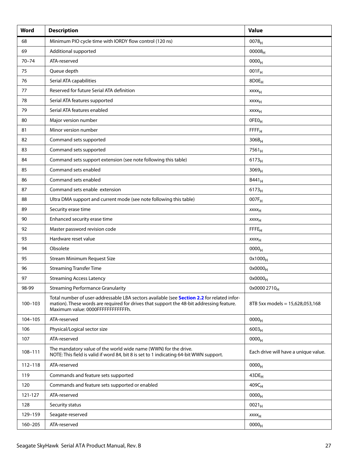| Word        | <b>Description</b>                                                                                                                                                                                                           | <b>Value</b>                         |
|-------------|------------------------------------------------------------------------------------------------------------------------------------------------------------------------------------------------------------------------------|--------------------------------------|
| 68          | Minimum PIO cycle time with IORDY flow control (120 ns)                                                                                                                                                                      | 0078 <sub>H</sub>                    |
| 69          | Additional supported                                                                                                                                                                                                         | $00008_{H}$                          |
| $70 - 74$   | ATA-reserved                                                                                                                                                                                                                 | 0000 <sub>H</sub>                    |
| 75          | Queue depth                                                                                                                                                                                                                  | $001F_H$                             |
| 76          | Serial ATA capabilities                                                                                                                                                                                                      | 8D0E <sub>H</sub>                    |
| 77          | Reserved for future Serial ATA definition                                                                                                                                                                                    | xxxx <sub>H</sub>                    |
| 78          | Serial ATA features supported                                                                                                                                                                                                | <b>XXXX<sub>H</sub></b>              |
| 79          | Serial ATA features enabled                                                                                                                                                                                                  | <b>XXXX<sub>H</sub></b>              |
| 80          | Major version number                                                                                                                                                                                                         | OFEO <sub>H</sub>                    |
| 81          | Minor version number                                                                                                                                                                                                         | FFFF <sub>H</sub>                    |
| 82          | Command sets supported                                                                                                                                                                                                       | $306B_H$                             |
| 83          | Command sets supported                                                                                                                                                                                                       | $7561_H$                             |
| 84          | Command sets support extension (see note following this table)                                                                                                                                                               | 6173 <sub>H</sub>                    |
| 85          | Command sets enabled                                                                                                                                                                                                         | 3069 <sub>H</sub>                    |
| 86          | Command sets enabled                                                                                                                                                                                                         | $B441_H$                             |
| 87          | Command sets enable extension                                                                                                                                                                                                | $6173_H$                             |
| 88          | Ultra DMA support and current mode (see note following this table)                                                                                                                                                           | 007F <sub>H</sub>                    |
| 89          | Security erase time                                                                                                                                                                                                          | $xxxx_{H}$                           |
| 90          | Enhanced security erase time                                                                                                                                                                                                 | $xxxx_{H}$                           |
| 92          | Master password revision code                                                                                                                                                                                                | FFE <sub>H</sub>                     |
| 93          | Hardware reset value                                                                                                                                                                                                         | <b>XXXX<sub>H</sub></b>              |
| 94          | Obsolete                                                                                                                                                                                                                     | 0000 <sub>H</sub>                    |
| 95          | <b>Stream Minimum Request Size</b>                                                                                                                                                                                           | $0x1000_H$                           |
| 96          | <b>Streaming Transfer Time</b>                                                                                                                                                                                               | $0x0000_H$                           |
| 97          | <b>Streaming Access Latency</b>                                                                                                                                                                                              | $0x0000_H$                           |
| 98-99       | <b>Streaming Performance Granularity</b>                                                                                                                                                                                     | 0x0000 2710 <sub>H</sub>             |
| $100 - 103$ | Total number of user-addressable LBA sectors available (see Section 2.2 for related infor-<br>mation). These words are required for drives that support the 48-bit addressing feature.<br>Maximum value: 0000FFFFFFFFFFFFFh. | 8TB 5xx models = 15,628,053,168      |
| 104-105     | ATA-reserved                                                                                                                                                                                                                 | 0000 <sub>H</sub>                    |
| 106         | Physical/Logical sector size                                                                                                                                                                                                 | $6003_H$                             |
| 107         | ATA-reserved                                                                                                                                                                                                                 | 0000 <sub>H</sub>                    |
| 108-111     | The mandatory value of the world wide name (WWN) for the drive.<br>NOTE: This field is valid if word 84, bit 8 is set to 1 indicating 64-bit WWN support.                                                                    | Each drive will have a unique value. |
| $112 - 118$ | ATA-reserved                                                                                                                                                                                                                 | 0000 <sub>H</sub>                    |
| 119         | Commands and feature sets supported                                                                                                                                                                                          | $43DE_H$                             |
| 120         | Commands and feature sets supported or enabled                                                                                                                                                                               | $409C_H$                             |
| 121-127     | ATA-reserved                                                                                                                                                                                                                 | 0000 <sub>H</sub>                    |
| 128         | Security status                                                                                                                                                                                                              | $0021_H$                             |
| 129-159     | Seagate-reserved                                                                                                                                                                                                             | $xxxx_{H}$                           |
| 160-205     | ATA-reserved                                                                                                                                                                                                                 | 0000 <sub>H</sub>                    |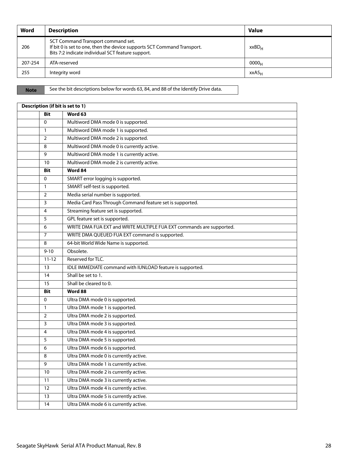| Word    | <b>Description</b>                                                                                                                                                 | <b>Value</b>      |
|---------|--------------------------------------------------------------------------------------------------------------------------------------------------------------------|-------------------|
| 206     | SCT Command Transport command set.<br>If bit 0 is set to one, then the device supports SCT Command Transport.<br>Bits 7:2 indicate individual SCT feature support. | xxBD <sub>H</sub> |
| 207-254 | ATA-reserved                                                                                                                                                       | 0000 <sub>H</sub> |
| 255     | Integrity word                                                                                                                                                     | xxA5 <sub>H</sub> |

**Note** See the bit descriptions below for words 63, 84, and 88 of the Identify Drive data.

|                | Description (if bit is set to 1)                                     |  |  |  |  |
|----------------|----------------------------------------------------------------------|--|--|--|--|
| <b>Bit</b>     | Word 63                                                              |  |  |  |  |
| $\Omega$       | Multiword DMA mode 0 is supported.                                   |  |  |  |  |
| $\mathbf{1}$   | Multiword DMA mode 1 is supported.                                   |  |  |  |  |
| $\overline{2}$ | Multiword DMA mode 2 is supported.                                   |  |  |  |  |
| 8              | Multiword DMA mode 0 is currently active.                            |  |  |  |  |
| 9              | Multiword DMA mode 1 is currently active.                            |  |  |  |  |
| 10             | Multiword DMA mode 2 is currently active.                            |  |  |  |  |
| <b>Bit</b>     | Word 84                                                              |  |  |  |  |
| $\Omega$       | SMART error logging is supported.                                    |  |  |  |  |
| $\mathbf{1}$   | SMART self-test is supported.                                        |  |  |  |  |
| $\overline{2}$ | Media serial number is supported.                                    |  |  |  |  |
| 3              | Media Card Pass Through Command feature set is supported.            |  |  |  |  |
| 4              | Streaming feature set is supported.                                  |  |  |  |  |
| 5              | GPL feature set is supported.                                        |  |  |  |  |
| 6              | WRITE DMA FUA EXT and WRITE MULTIPLE FUA EXT commands are supported. |  |  |  |  |
| 7              | WRITE DMA QUEUED FUA EXT command is supported.                       |  |  |  |  |
| 8              | 64-bit World Wide Name is supported.                                 |  |  |  |  |
| $9 - 10$       | Obsolete.                                                            |  |  |  |  |
| $11 - 12$      | Reserved for TLC.                                                    |  |  |  |  |
| 13             | IDLE IMMEDIATE command with IUNLOAD feature is supported.            |  |  |  |  |
| 14             | Shall be set to 1.                                                   |  |  |  |  |
| 15             | Shall be cleared to 0.                                               |  |  |  |  |
| <b>Bit</b>     | Word 88                                                              |  |  |  |  |
| $\Omega$       | Ultra DMA mode 0 is supported.                                       |  |  |  |  |
| $\mathbf{1}$   | Ultra DMA mode 1 is supported.                                       |  |  |  |  |
| $\overline{2}$ | Ultra DMA mode 2 is supported.                                       |  |  |  |  |
| 3              | Ultra DMA mode 3 is supported.                                       |  |  |  |  |
| 4              | Ultra DMA mode 4 is supported.                                       |  |  |  |  |
| 5              | Ultra DMA mode 5 is supported.                                       |  |  |  |  |
| 6              | Ultra DMA mode 6 is supported.                                       |  |  |  |  |
| 8              | Ultra DMA mode 0 is currently active.                                |  |  |  |  |
| 9              | Ultra DMA mode 1 is currently active.                                |  |  |  |  |
| 10             | Ultra DMA mode 2 is currently active.                                |  |  |  |  |
| 11             | Ultra DMA mode 3 is currently active.                                |  |  |  |  |
| 12             | Ultra DMA mode 4 is currently active.                                |  |  |  |  |
| 13             | Ultra DMA mode 5 is currently active.                                |  |  |  |  |
| 14             | Ultra DMA mode 6 is currently active.                                |  |  |  |  |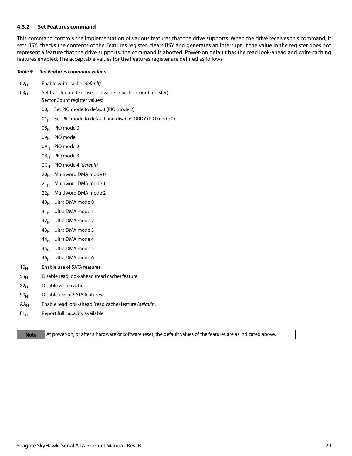#### <span id="page-29-0"></span>**4.3.2 Set Features command**

This command controls the implementation of various features that the drive supports. When the drive receives this command, it sets BSY, checks the contents of the Features register, clears BSY and generates an interrupt. If the value in the register does not represent a feature that the drive supports, the command is aborted. Power-on default has the read look-ahead and write caching features enabled. The acceptable values for the Features register are defined as follows

#### *Table 9 Set Features command values*

- $02_H$  Enable write cache (default).
- $03_H$  Set transfer mode (based on value in Sector Count register). Sector Count register values:
	- $00_H$  Set PIO mode to default (PIO mode 2).
	- 01 $_{\rm H}$  Set PIO mode to default and disable IORDY (PIO mode 2).
	- 08H PIO mode 0
	- 09<sub>H</sub> PIO mode 1
	- 0A<sub>H</sub> PIO mode 2
	- 0B<sub>H</sub> PIO mode 3
	- $OC_H$  PIO mode 4 (default)
	- $20_H$  Multiword DMA mode 0
	- $21_H$  Multiword DMA mode 1
	- $22<sub>H</sub>$  Multiword DMA mode 2
	- 40H Ultra DMA mode 0
	- 41<sub>H</sub> Ultra DMA mode 1
	- $42_H$  Ultra DMA mode 2
	- $43_H$  Ultra DMA mode 3
	- $44_H$  Ultra DMA mode 4
	- $45_H$  Ultra DMA mode 5
	- $46_H$  Ultra DMA mode 6
- 10<sub>H</sub> Enable use of SATA features
- $55<sub>H</sub>$  Disable read look-ahead (read cache) feature.
- $82<sub>H</sub>$  Disable write cache
- $90<sub>H</sub>$  Disable use of SATA features
- $AA_H$  Enable read look-ahead (read cache) feature (default).
- $F1_H$  Report full capacity available

**Note** At power-on, or after a hardware or software reset, the default values of the features are as indicated above.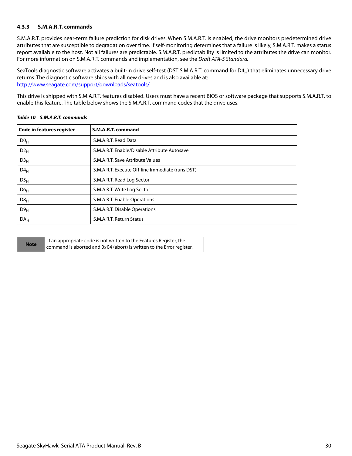## <span id="page-30-0"></span>**4.3.3 S.M.A.R.T. commands**

S.M.A.R.T. provides near-term failure prediction for disk drives. When S.M.A.R.T. is enabled, the drive monitors predetermined drive attributes that are susceptible to degradation over time. If self-monitoring determines that a failure is likely, S.M.A.R.T. makes a status report available to the host. Not all failures are predictable. S.M.A.R.T. predictability is limited to the attributes the drive can monitor. For more information on S.M.A.R.T. commands and implementation, see the Draft ATA-5 Standard.

SeaTools diagnostic software activates a built-in drive self-test (DST S.M.A.R.T. command for  $D4_H$ ) that eliminates unnecessary drive returns. The diagnostic software ships with all new drives and is also available at: [http://www.seagate.com/support/downloads/seatools/](http://www.seagate.com/support/downloads/seatools/ ).

This drive is shipped with S.M.A.R.T. features disabled. Users must have a recent BIOS or software package that supports S.M.A.R.T. to enable this feature. The table below shows the S.M.A.R.T. command codes that the drive uses.

| <b>Code in features register</b> | S.M.A.R.T. command                               |
|----------------------------------|--------------------------------------------------|
| D0 <sub>H</sub>                  | S.M.A.R.T. Read Data                             |
| $D2_H$                           | S.M.A.R.T. Enable/Disable Attribute Autosave     |
| D3 <sub>H</sub>                  | S.M.A.R.T. Save Attribute Values                 |
| $D4_H$                           | S.M.A.R.T. Execute Off-line Immediate (runs DST) |
| DS <sub>H</sub>                  | S.M.A.R.T. Read Log Sector                       |
| D6 <sub>H</sub>                  | S.M.A.R.T. Write Log Sector                      |
| D8 <sub>H</sub>                  | S.M.A.R.T. Enable Operations                     |
| D9 <sub>H</sub>                  | S.M.A.R.T. Disable Operations                    |
| DA <sub>H</sub>                  | S.M.A.R.T. Return Status                         |

### *Table 10 S.M.A.R.T. commands*

| <b>Note</b> | If an appropriate code is not written to the Features Register, the   |
|-------------|-----------------------------------------------------------------------|
|             | command is aborted and 0x04 (abort) is written to the Error register. |